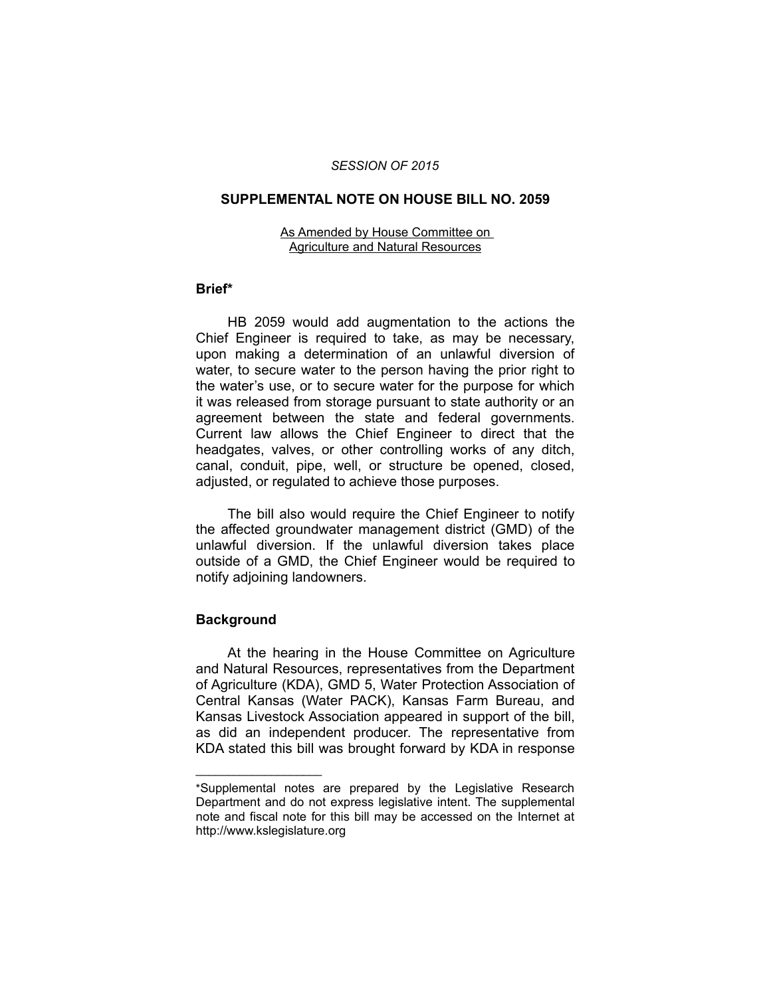## *SESSION OF 2015*

### **SUPPLEMENTAL NOTE ON HOUSE BILL NO. 2059**

#### As Amended by House Committee on Agriculture and Natural Resources

# **Brief\***

HB 2059 would add augmentation to the actions the Chief Engineer is required to take, as may be necessary, upon making a determination of an unlawful diversion of water, to secure water to the person having the prior right to the water's use, or to secure water for the purpose for which it was released from storage pursuant to state authority or an agreement between the state and federal governments. Current law allows the Chief Engineer to direct that the headgates, valves, or other controlling works of any ditch, canal, conduit, pipe, well, or structure be opened, closed, adjusted, or regulated to achieve those purposes.

The bill also would require the Chief Engineer to notify the affected groundwater management district (GMD) of the unlawful diversion. If the unlawful diversion takes place outside of a GMD, the Chief Engineer would be required to notify adjoining landowners.

# **Background**

 $\overline{\phantom{a}}$  , where  $\overline{\phantom{a}}$ 

At the hearing in the House Committee on Agriculture and Natural Resources, representatives from the Department of Agriculture (KDA), GMD 5, Water Protection Association of Central Kansas (Water PACK), Kansas Farm Bureau, and Kansas Livestock Association appeared in support of the bill, as did an independent producer. The representative from KDA stated this bill was brought forward by KDA in response

<sup>\*</sup>Supplemental notes are prepared by the Legislative Research Department and do not express legislative intent. The supplemental note and fiscal note for this bill may be accessed on the Internet at http://www.kslegislature.org